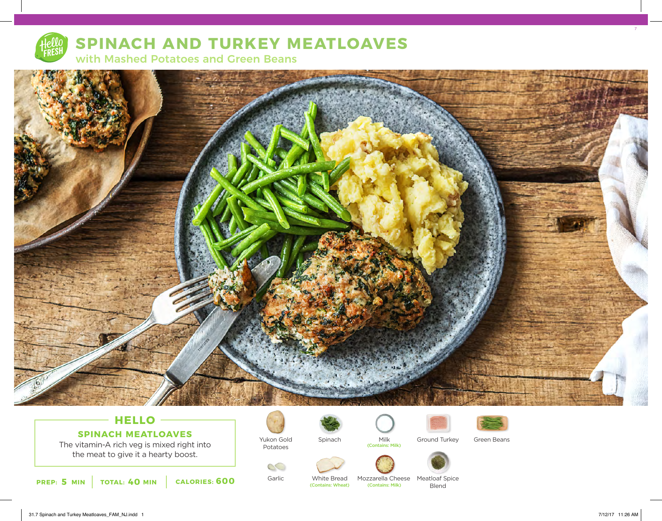

### **SPINACH AND TURKEY MEATLOAVES**

with Mashed Potatoes and Green Beans



### **HELLO SPINACH MEATLOAVES**

The vitamin-A rich veg is mixed right into the meat to give it a hearty boost.



Garlic

Yukon Gold Potatoes



White Bread<br>(Contains: Wheat)







Milk Ground Turkey Green Beans





Mozzarella Cheese Meatloaf Spice Blend

7